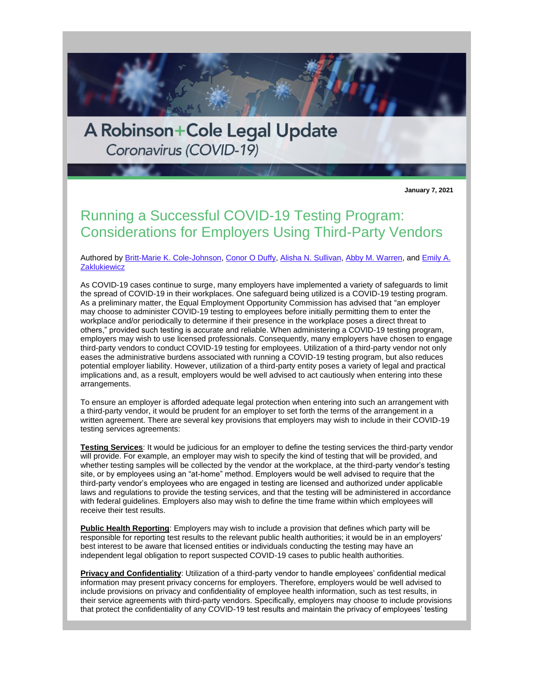A Robinson+Cole Legal Update Coronavirus (COVID-19)

**January 7, 2021**

## Running a Successful COVID-19 Testing Program: Considerations for Employers Using Third-Party Vendors

## Authored by [Britt-Marie K. Cole-Johnson,](http://www.rc.com/people/Britt-MarieKCole-Johnson.cfm) [Conor O Duffy,](http://www.rc.com/people/ConorODuffy.cfm) [Alisha N. Sullivan,](http://www.rc.com/people/AlishaNSullivan.cfm) [Abby M. Warren,](http://www.rc.com/people/AbbyMWarren.cfm) and [Emily A.](http://www.rc.com/people/EmilyAZaklukiewicz.cfm)  **[Zaklukiewicz](http://www.rc.com/people/EmilyAZaklukiewicz.cfm)**

As COVID-19 cases continue to surge, many employers have implemented a variety of safeguards to limit the spread of COVID-19 in their workplaces. One safeguard being utilized is a COVID-19 testing program. As a preliminary matter, the Equal Employment Opportunity Commission has advised that "an employer may choose to administer COVID-19 testing to employees before initially permitting them to enter the workplace and/or periodically to determine if their presence in the workplace poses a direct threat to others," provided such testing is accurate and reliable. When administering a COVID-19 testing program, employers may wish to use licensed professionals. Consequently, many employers have chosen to engage third-party vendors to conduct COVID-19 testing for employees. Utilization of a third-party vendor not only eases the administrative burdens associated with running a COVID-19 testing program, but also reduces potential employer liability. However, utilization of a third-party entity poses a variety of legal and practical implications and, as a result, employers would be well advised to act cautiously when entering into these arrangements.

To ensure an employer is afforded adequate legal protection when entering into such an arrangement with a third-party vendor, it would be prudent for an employer to set forth the terms of the arrangement in a written agreement. There are several key provisions that employers may wish to include in their COVID-19 testing services agreements:

**Testing Services**: It would be judicious for an employer to define the testing services the third-party vendor will provide. For example, an employer may wish to specify the kind of testing that will be provided, and whether testing samples will be collected by the vendor at the workplace, at the third-party vendor's testing site, or by employees using an "at-home" method. Employers would be well advised to require that the third-party vendor's employees who are engaged in testing are licensed and authorized under applicable laws and regulations to provide the testing services, and that the testing will be administered in accordance with federal guidelines. Employers also may wish to define the time frame within which employees will receive their test results.

**Public Health Reporting**: Employers may wish to include a provision that defines which party will be responsible for reporting test results to the relevant public health authorities; it would be in an employers' best interest to be aware that licensed entities or individuals conducting the testing may have an independent legal obligation to report suspected COVID-19 cases to public health authorities.

**Privacy and Confidentiality**: Utilization of a third-party vendor to handle employees' confidential medical information may present privacy concerns for employers. Therefore, employers would be well advised to include provisions on privacy and confidentiality of employee health information, such as test results, in their service agreements with third-party vendors. Specifically, employers may choose to include provisions that protect the confidentiality of any COVID-19 test results and maintain the privacy of employees' testing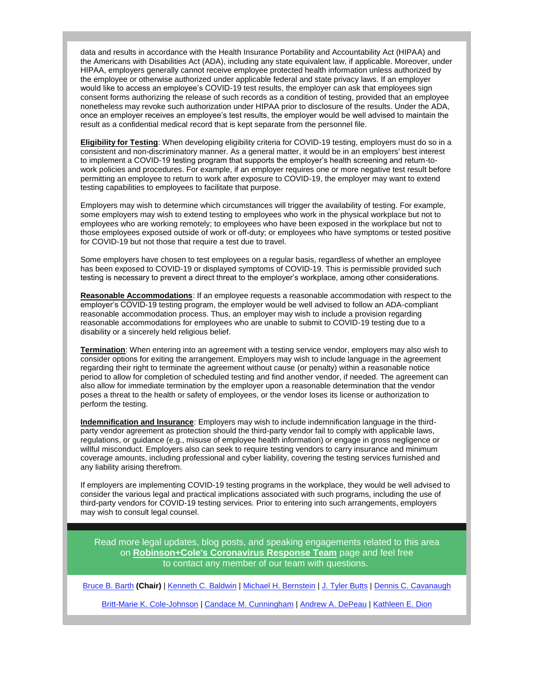data and results in accordance with the Health Insurance Portability and Accountability Act (HIPAA) and the Americans with Disabilities Act (ADA), including any state equivalent law, if applicable. Moreover, under HIPAA, employers generally cannot receive employee protected health information unless authorized by the employee or otherwise authorized under applicable federal and state privacy laws. If an employer would like to access an employee's COVID-19 test results, the employer can ask that employees sign consent forms authorizing the release of such records as a condition of testing, provided that an employee nonetheless may revoke such authorization under HIPAA prior to disclosure of the results. Under the ADA, once an employer receives an employee's test results, the employer would be well advised to maintain the result as a confidential medical record that is kept separate from the personnel file.

**Eligibility for Testing**: When developing eligibility criteria for COVID-19 testing, employers must do so in a consistent and non-discriminatory manner. As a general matter, it would be in an employers' best interest to implement a COVID-19 testing program that supports the employer's health screening and return-towork policies and procedures. For example, if an employer requires one or more negative test result before permitting an employee to return to work after exposure to COVID-19, the employer may want to extend testing capabilities to employees to facilitate that purpose.

Employers may wish to determine which circumstances will trigger the availability of testing. For example, some employers may wish to extend testing to employees who work in the physical workplace but not to employees who are working remotely; to employees who have been exposed in the workplace but not to those employees exposed outside of work or off-duty; or employees who have symptoms or tested positive for COVID-19 but not those that require a test due to travel.

Some employers have chosen to test employees on a regular basis, regardless of whether an employee has been exposed to COVID-19 or displayed symptoms of COVID-19. This is permissible provided such testing is necessary to prevent a direct threat to the employer's workplace, among other considerations.

**Reasonable Accommodations**: If an employee requests a reasonable accommodation with respect to the employer's COVID-19 testing program, the employer would be well advised to follow an ADA-compliant reasonable accommodation process. Thus, an employer may wish to include a provision regarding reasonable accommodations for employees who are unable to submit to COVID-19 testing due to a disability or a sincerely held religious belief.

**Termination**: When entering into an agreement with a testing service vendor, employers may also wish to consider options for exiting the arrangement. Employers may wish to include language in the agreement regarding their right to terminate the agreement without cause (or penalty) within a reasonable notice period to allow for completion of scheduled testing and find another vendor, if needed. The agreement can also allow for immediate termination by the employer upon a reasonable determination that the vendor poses a threat to the health or safety of employees, or the vendor loses its license or authorization to perform the testing.

**Indemnification and Insurance**: Employers may wish to include indemnification language in the thirdparty vendor agreement as protection should the third-party vendor fail to comply with applicable laws, regulations, or guidance (e.g., misuse of employee health information) or engage in gross negligence or willful misconduct. Employers also can seek to require testing vendors to carry insurance and minimum coverage amounts, including professional and cyber liability, covering the testing services furnished and any liability arising therefrom.

If employers are implementing COVID-19 testing programs in the workplace, they would be well advised to consider the various legal and practical implications associated with such programs, including the use of third-party vendors for COVID-19 testing services. Prior to entering into such arrangements, employers may wish to consult legal counsel.

Read more legal updates, blog posts, and speaking engagements related to this area on **[Robinson+Cole's Coronavirus Response Team](http://www.rc.com/coronavirus)** page and feel free to contact any member of our team with questions.

[Bruce B. Barth](http://www.rc.com/people/BruceBBarth.cfm) **(Chair)** | [Kenneth C. Baldwin](http://www.rc.com/people/KennethCBaldwin.cfm) | [Michael H. Bernstein](http://www.rc.com/people/MichaelHBernstein.cfm) | [J. Tyler Butts](http://www.rc.com/people/JTylerButts.cfm) | [Dennis C. Cavanaugh](http://www.rc.com/people/DennisCCavanaugh.cfm)

[Britt-Marie K. Cole-Johnson](http://www.rc.com/people/Britt-MarieKCole-Johnson.cfm) | [Candace M. Cunningham](http://www.rc.com/people/CandaceMCunningham.cfm) | [Andrew A. DePeau](http://www.rc.com/people/AndrewADePeau.cfm) | [Kathleen E. Dion](http://www.rc.com/people/KathleenEDion.cfm)